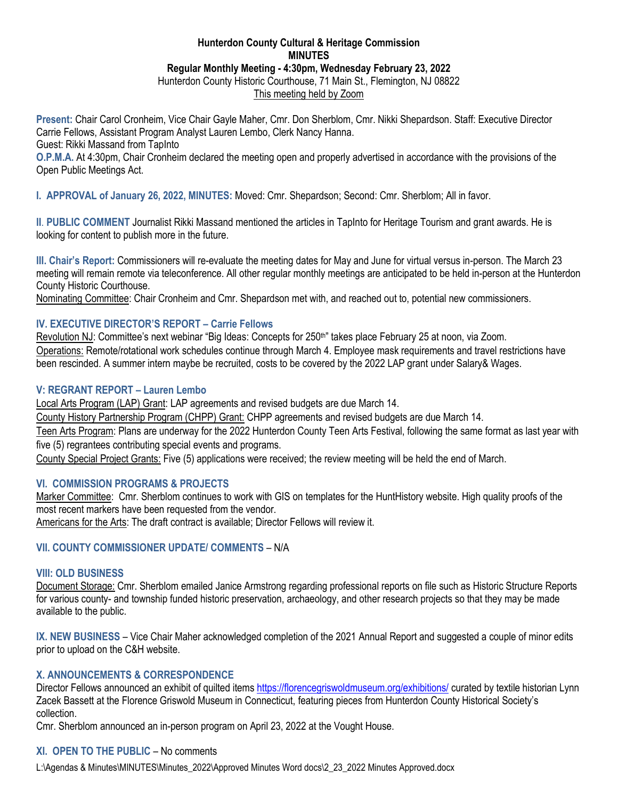### **Hunterdon County Cultural & Heritage Commission MINUTES Regular Monthly Meeting - 4:30pm, Wednesday February 23, 2022** Hunterdon County Historic Courthouse, 71 Main St., Flemington, NJ 08822

This meeting held by Zoom

**Present:** Chair Carol Cronheim, Vice Chair Gayle Maher, Cmr. Don Sherblom, Cmr. Nikki Shepardson. Staff: Executive Director Carrie Fellows, Assistant Program Analyst Lauren Lembo, Clerk Nancy Hanna. Guest: Rikki Massand from TapInto

**O.P.M.A.** At 4:30pm, Chair Cronheim declared the meeting open and properly advertised in accordance with the provisions of the Open Public Meetings Act.

**I. APPROVAL of January 26, 2022, MINUTES:** Moved: Cmr. Shepardson; Second: Cmr. Sherblom; All in favor.

**II**. **PUBLIC COMMENT** Journalist Rikki Massand mentioned the articles in TapInto for Heritage Tourism and grant awards. He is looking for content to publish more in the future.

**III. Chair's Report:** Commissioners will re-evaluate the meeting dates for May and June for virtual versus in-person. The March 23 meeting will remain remote via teleconference. All other regular monthly meetings are anticipated to be held in-person at the Hunterdon County Historic Courthouse.

Nominating Committee: Chair Cronheim and Cmr. Shepardson met with, and reached out to, potential new commissioners.

### **IV. EXECUTIVE DIRECTOR'S REPORT – Carrie Fellows**

Revolution NJ: Committee's next webinar "Big Ideas: Concepts for 250th" takes place February 25 at noon, via Zoom. Operations: Remote/rotational work schedules continue through March 4. Employee mask requirements and travel restrictions have been rescinded. A summer intern maybe be recruited, costs to be covered by the 2022 LAP grant under Salary& Wages.

### **V: REGRANT REPORT – Lauren Lembo**

Local Arts Program (LAP) Grant: LAP agreements and revised budgets are due March 14.

County History Partnership Program (CHPP) Grant: CHPP agreements and revised budgets are due March 14.

Teen Arts Program: Plans are underway for the 2022 Hunterdon County Teen Arts Festival, following the same format as last year with five (5) regrantees contributing special events and programs.

County Special Project Grants: Five (5) applications were received; the review meeting will be held the end of March.

### **VI. COMMISSION PROGRAMS & PROJECTS**

Marker Committee: Cmr. Sherblom continues to work with GIS on templates for the HuntHistory website. High quality proofs of the most recent markers have been requested from the vendor.

Americans for the Arts: The draft contract is available; Director Fellows will review it.

### **VII. COUNTY COMMISSIONER UPDATE/ COMMENTS** – N/A

### **VIII: OLD BUSINESS**

Document Storage: Cmr. Sherblom emailed Janice Armstrong regarding professional reports on file such as Historic Structure Reports for various county- and township funded historic preservation, archaeology, and other research projects so that they may be made available to the public.

**IX. NEW BUSINESS** – Vice Chair Maher acknowledged completion of the 2021 Annual Report and suggested a couple of minor edits prior to upload on the C&H website.

### **X. ANNOUNCEMENTS & CORRESPONDENCE**

Director Fellows announced an exhibit of quilted item[s https://florencegriswoldmuseum.org/exhibitions/](https://florencegriswoldmuseum.org/exhibitions/) curated by textile historian Lynn Zacek Bassett at the Florence Griswold Museum in Connecticut, featuring pieces from Hunterdon County Historical Society's collection.

Cmr. Sherblom announced an in-person program on April 23, 2022 at the Vought House.

# **XI. OPEN TO THE PUBLIC** – No comments

L:\Agendas & Minutes\MINUTES\Minutes\_2022\Approved Minutes Word docs\2\_23\_2022 Minutes Approved.docx